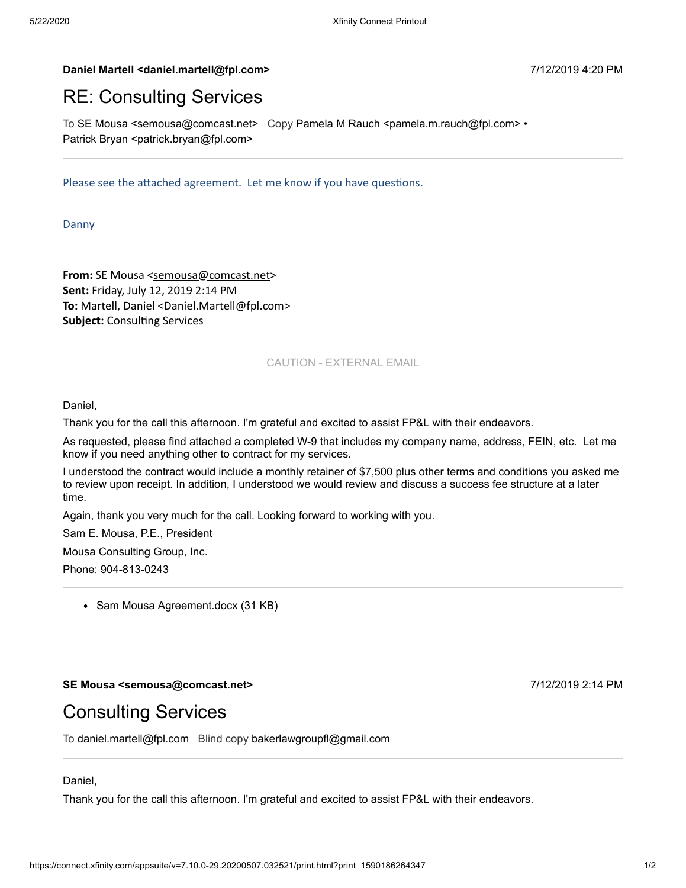#### **Daniel Martell <daniel.martell@fpl.com>** 7/12/2019 4:20 PM

# RE: Consulting Services

To SE Mousa <semousa@comcast.net> Copy Pamela M Rauch <pamela.m.rauch@fpl.com> • Patrick Bryan <patrick.bryan@fpl.com>

Please see the attached agreement. Let me know if you have questions.

Danny

**From:** SE Mousa [<semousa@comcast.net>](mailto:semousa@comcast.net) **Sent:** Friday, July 12, 2019 2:14 PM To: Martell, Daniel [<Daniel.Martell@fpl.com](mailto:Daniel.Martell@fpl.com)> **Subject: Consulting Services** 

### CAUTION - EXTERNAL EMAIL

Daniel,

Thank you for the call this afternoon. I'm grateful and excited to assist FP&L with their endeavors.

As requested, please find attached a completed W-9 that includes my company name, address, FEIN, etc. Let me know if you need anything other to contract for my services.

I understood the contract would include a monthly retainer of \$7,500 plus other terms and conditions you asked me to review upon receipt. In addition, I understood we would review and discuss a success fee structure at a later time.

Again, thank you very much for the call. Looking forward to working with you.

Sam E. Mousa, P.E., President

Mousa Consulting Group, Inc.

Phone: 904-813-0243

• Sam Mousa Agreement.docx (31 KB)

#### **SE Mousa <semousa@comcast.net>** 7/12/2019 2:14 PM

## Consulting Services

To daniel.martell@fpl.com Blind copy bakerlawgroupfl@gmail.com

#### Daniel,

Thank you for the call this afternoon. I'm grateful and excited to assist FP&L with their endeavors.